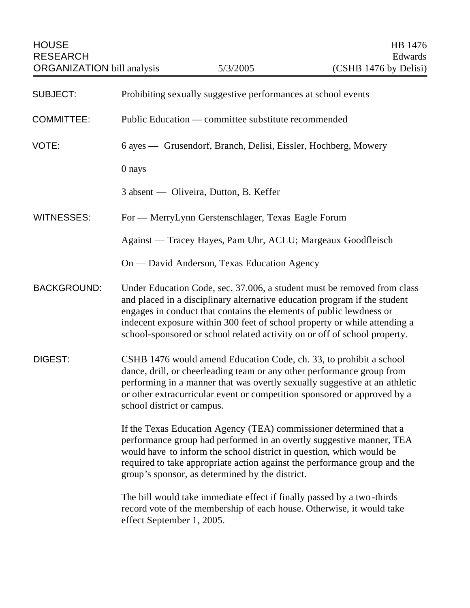| <b>SUBJECT:</b>    | Prohibiting sexually suggestive performances at school events                                                                                                                                                                                                                                                                                                                         |
|--------------------|---------------------------------------------------------------------------------------------------------------------------------------------------------------------------------------------------------------------------------------------------------------------------------------------------------------------------------------------------------------------------------------|
| <b>COMMITTEE:</b>  | Public Education — committee substitute recommended                                                                                                                                                                                                                                                                                                                                   |
| VOTE:              | 6 ayes — Grusendorf, Branch, Delisi, Eissler, Hochberg, Mowery                                                                                                                                                                                                                                                                                                                        |
|                    | 0 nays                                                                                                                                                                                                                                                                                                                                                                                |
|                    | 3 absent — Oliveira, Dutton, B. Keffer                                                                                                                                                                                                                                                                                                                                                |
| <b>WITNESSES:</b>  | For — MerryLynn Gerstenschlager, Texas Eagle Forum                                                                                                                                                                                                                                                                                                                                    |
|                    | Against — Tracey Hayes, Pam Uhr, ACLU; Margeaux Goodfleisch                                                                                                                                                                                                                                                                                                                           |
|                    | On — David Anderson, Texas Education Agency                                                                                                                                                                                                                                                                                                                                           |
| <b>BACKGROUND:</b> | Under Education Code, sec. 37.006, a student must be removed from class<br>and placed in a disciplinary alternative education program if the student<br>engages in conduct that contains the elements of public lewdness or<br>indecent exposure within 300 feet of school property or while attending a<br>school-sponsored or school related activity on or off of school property. |
| <b>DIGEST:</b>     | CSHB 1476 would amend Education Code, ch. 33, to prohibit a school<br>dance, drill, or cheerleading team or any other performance group from<br>performing in a manner that was overtly sexually suggestive at an athletic<br>or other extracurricular event or competition sponsored or approved by a<br>school district or campus.                                                  |
|                    | If the Texas Education Agency (TEA) commissioner determined that a<br>performance group had performed in an overtly suggestive manner, TEA<br>would have to inform the school district in question, which would be<br>required to take appropriate action against the performance group and the<br>group's sponsor, as determined by the district.                                    |
|                    | The bill would take immediate effect if finally passed by a two-thirds<br>record vote of the membership of each house. Otherwise, it would take<br>effect September 1, 2005.                                                                                                                                                                                                          |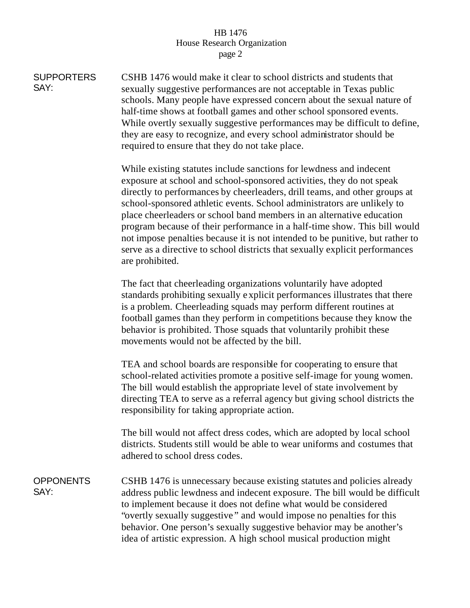## HB 1476 House Research Organization page 2

**SUPPORTERS** SAY: CSHB 1476 would make it clear to school districts and students that sexually suggestive performances are not acceptable in Texas public schools. Many people have expressed concern about the sexual nature of half-time shows at football games and other school sponsored events. While overtly sexually suggestive performances may be difficult to define, they are easy to recognize, and every school administrator should be required to ensure that they do not take place. While existing statutes include sanctions for lewdness and indecent exposure at school and school-sponsored activities, they do not speak directly to performances by cheerleaders, drill teams, and other groups at school-sponsored athletic events. School administrators are unlikely to place cheerleaders or school band members in an alternative education program because of their performance in a half-time show. This bill would not impose penalties because it is not intended to be punitive, but rather to serve as a directive to school districts that sexually explicit performances are prohibited. The fact that cheerleading organizations voluntarily have adopted standards prohibiting sexually explicit performances illustrates that there is a problem. Cheerleading squads may perform different routines at football games than they perform in competitions because they know the behavior is prohibited. Those squads that voluntarily prohibit these movements would not be affected by the bill. TEA and school boards are responsible for cooperating to ensure that school-related activities promote a positive self-image for young women. The bill would establish the appropriate level of state involvement by directing TEA to serve as a referral agency but giving school districts the responsibility for taking appropriate action. The bill would not affect dress codes, which are adopted by local school districts. Students still would be able to wear uniforms and costumes that adhered to school dress codes. **OPPONENTS** SAY: CSHB 1476 is unnecessary because existing statutes and policies already address public lewdness and indecent exposure. The bill would be difficult to implement because it does not define what would be considered "overtly sexually suggestive " and would impose no penalties for this behavior. One person's sexually suggestive behavior may be another's idea of artistic expression. A high school musical production might